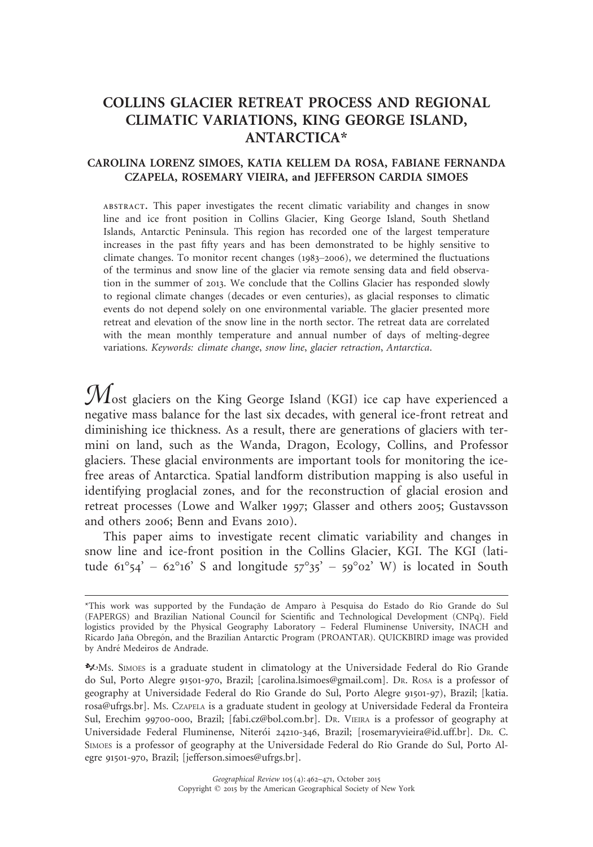# COLLINS GLACIER RETREAT PROCESS AND REGIONAL CLIMATIC VARIATIONS, KING GEORGE ISLAND, ANTARCTICA\*

## CAROLINA LORENZ SIMOES, KATIA KELLEM DA ROSA, FABIANE FERNANDA CZAPELA, ROSEMARY VIEIRA, and JEFFERSON CARDIA SIMOES

ABSTRACT. This paper investigates the recent climatic variability and changes in snow line and ice front position in Collins Glacier, King George Island, South Shetland Islands, Antarctic Peninsula. This region has recorded one of the largest temperature increases in the past fifty years and has been demonstrated to be highly sensitive to climate changes. To monitor recent changes (1983–2006), we determined the fluctuations of the terminus and snow line of the glacier via remote sensing data and field observation in the summer of 2013. We conclude that the Collins Glacier has responded slowly to regional climate changes (decades or even centuries), as glacial responses to climatic events do not depend solely on one environmental variable. The glacier presented more retreat and elevation of the snow line in the north sector. The retreat data are correlated with the mean monthly temperature and annual number of days of melting-degree variations. Keywords: climate change, snow line, glacier retraction, Antarctica.

 $\mathcal M$ ost glaciers on the King George Island (KGI) ice cap have experienced a negative mass balance for the last six decades, with general ice-front retreat and diminishing ice thickness. As a result, there are generations of glaciers with termini on land, such as the Wanda, Dragon, Ecology, Collins, and Professor glaciers. These glacial environments are important tools for monitoring the icefree areas of Antarctica. Spatial landform distribution mapping is also useful in identifying proglacial zones, and for the reconstruction of glacial erosion and retreat processes (Lowe and Walker 1997; Glasser and others 2005; Gustavsson and others 2006; Benn and Evans 2010).

This paper aims to investigate recent climatic variability and changes in snow line and ice-front position in the Collins Glacier, KGI. The KGI (latitude  $61^{\circ}54' - 62^{\circ}16'$  S and longitude  $57^{\circ}35' - 59^{\circ}02'$  W) is located in South

kMS. SIMOES is a graduate student in climatology at the Universidade Federal do Rio Grande do Sul, Porto Alegre 91501-970, Brazil; [carolina.lsimoes@gmail.com]. DR. ROSA is a professor of geography at Universidade Federal do Rio Grande do Sul, Porto Alegre 91501-97), Brazil; [katia. rosa@ufrgs.br]. MS. CZAPELA is a graduate student in geology at Universidade Federal da Fronteira Sul, Erechim 99700-000, Brazil; [fabi.cz@bol.com.br]. DR. VIEIRA is a professor of geography at Universidade Federal Fluminense, Niterói 24210-346, Brazil; [rosemaryvieira@id.uff.br]. Dr. C. SIMOES is a professor of geography at the Universidade Federal do Rio Grande do Sul, Porto Alegre 91501-970, Brazil; [jefferson.simoes@ufrgs.br].

<sup>\*</sup>This work was supported by the Fundação de Amparo à Pesquisa do Estado do Rio Grande do Sul (FAPERGS) and Brazilian National Council for Scientific and Technological Development (CNPq). Field logistics provided by the Physical Geography Laboratory – Federal Fluminense University, INACH and Ricardo Jaña Obregón, and the Brazilian Antarctic Program (PROANTAR). QUICKBIRD image was provided by André Medeiros de Andrade.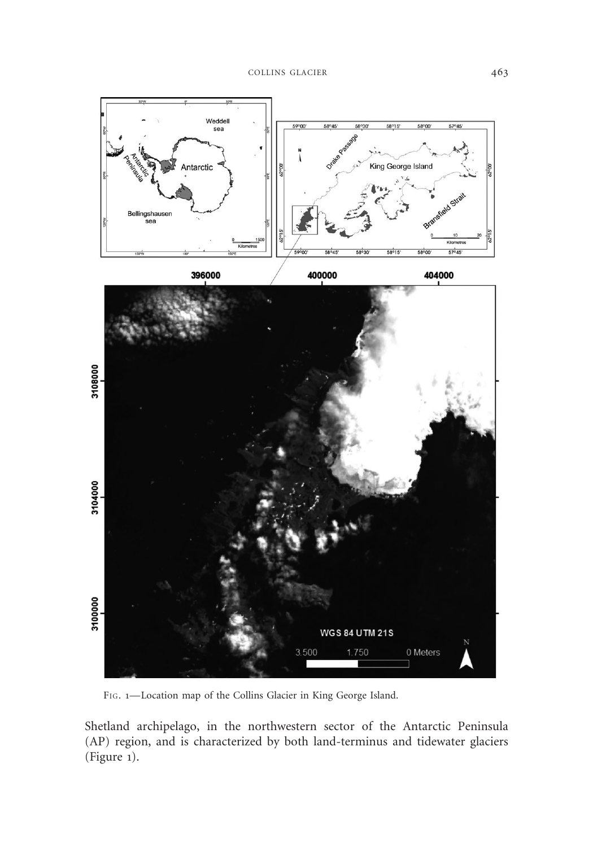

FIG. 1—Location map of the Collins Glacier in King George Island.

Shetland archipelago, in the northwestern sector of the Antarctic Peninsula (AP) region, and is characterized by both land-terminus and tidewater glaciers (Figure 1).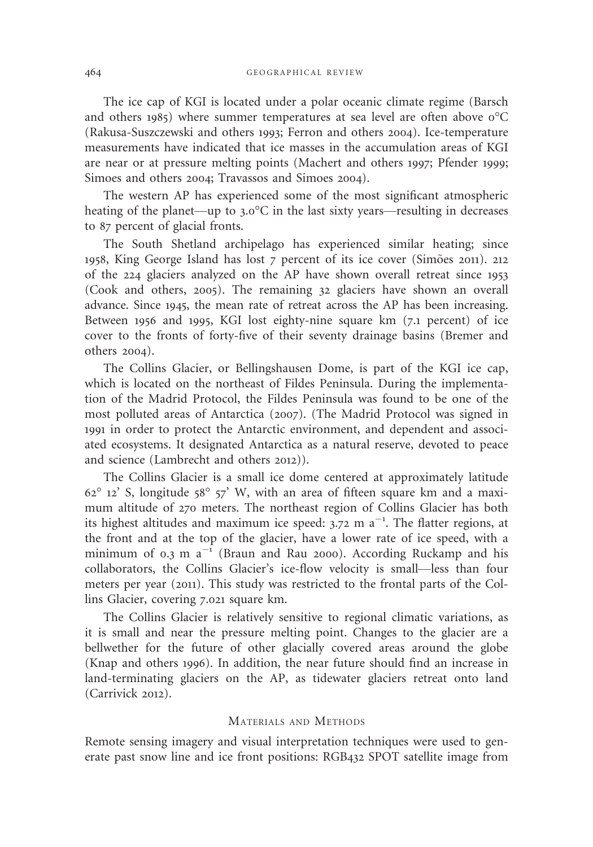The ice cap of KGI is located under a polar oceanic climate regime (Barsch and others 1985) where summer temperatures at sea level are often above  $0^{\circ}C$ (Rakusa-Suszczewski and others 1993; Ferron and others 2004). Ice-temperature measurements have indicated that ice masses in the accumulation areas of KGI are near or at pressure melting points (Machert and others 1997; Pfender 1999; Simoes and others 2004; Travassos and Simoes 2004).

The western AP has experienced some of the most significant atmospheric heating of the planet—up to 3.0°C in the last sixty years—resulting in decreases to 87 percent of glacial fronts.

The South Shetland archipelago has experienced similar heating; since 1958, King George Island has lost 7 percent of its ice cover (Simões 2011). 212 of the 224 glaciers analyzed on the AP have shown overall retreat since 1953 (Cook and others, 2005). The remaining 32 glaciers have shown an overall advance. Since 1945, the mean rate of retreat across the AP has been increasing. Between 1956 and 1995, KGI lost eighty-nine square km (7.1 percent) of ice cover to the fronts of forty-five of their seventy drainage basins (Bremer and others 2004).

The Collins Glacier, or Bellingshausen Dome, is part of the KGI ice cap, which is located on the northeast of Fildes Peninsula. During the implementation of the Madrid Protocol, the Fildes Peninsula was found to be one of the most polluted areas of Antarctica (2007). (The Madrid Protocol was signed in 1991 in order to protect the Antarctic environment, and dependent and associated ecosystems. It designated Antarctica as a natural reserve, devoted to peace and science (Lambrecht and others 2012)).

The Collins Glacier is a small ice dome centered at approximately latitude  $62^{\circ}$  12' S, longitude  $58^{\circ}$  57' W, with an area of fifteen square km and a maximum altitude of 270 meters. The northeast region of Collins Glacier has both its highest altitudes and maximum ice speed:  $3.72$  m a<sup>-1</sup>. The flatter regions, at the front and at the top of the glacier, have a lower rate of ice speed, with a minimum of 0.3 m  $a^{-1}$  (Braun and Rau 2000). According Ruckamp and his collaborators, the Collins Glacier's ice-flow velocity is small—less than four meters per year (2011). This study was restricted to the frontal parts of the Collins Glacier, covering 7.021 square km.

The Collins Glacier is relatively sensitive to regional climatic variations, as it is small and near the pressure melting point. Changes to the glacier are a bellwether for the future of other glacially covered areas around the globe (Knap and others 1996). In addition, the near future should find an increase in land-terminating glaciers on the AP, as tidewater glaciers retreat onto land (Carrivick 2012).

#### MATERIALS AND METHODS

Remote sensing imagery and visual interpretation techniques were used to generate past snow line and ice front positions: RGB432 SPOT satellite image from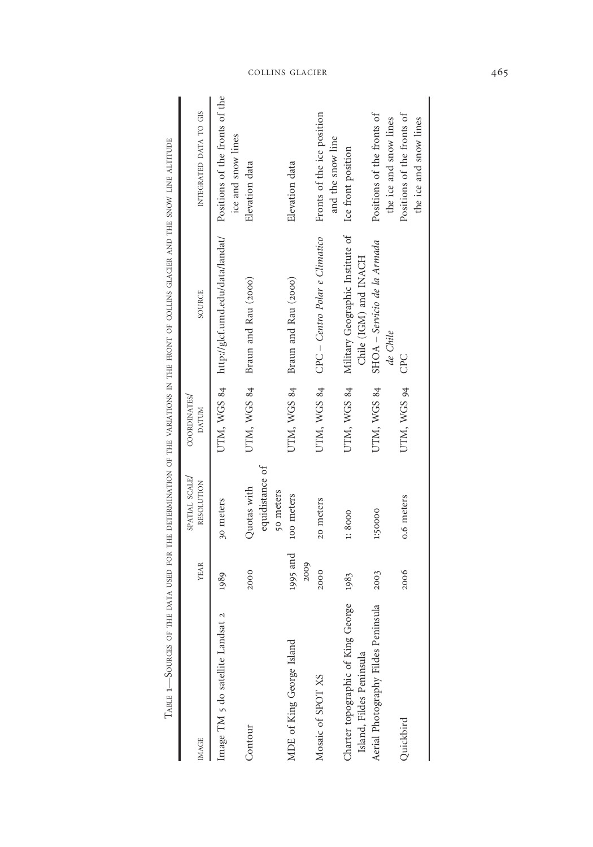| <b>IMAGE</b>                                                    | <b>YEAR</b>  | SPATIAL SCALE/<br>RESOLUTION   | COORDINATES/<br><b>DATUM</b> | SOURCE                                                | INTEGRATED DATA TO GIS                               |
|-----------------------------------------------------------------|--------------|--------------------------------|------------------------------|-------------------------------------------------------|------------------------------------------------------|
| Image TM 5 do satellite Landsat                                 | 1989         | 30 meters                      |                              | UTM, WGS 84 http://glcf.umd.edu/data/landat/          | Positions of the fronts of the                       |
| Contour                                                         | 2000         | equidistance of<br>Quotas with | UTM, WGS 84                  | Braun and Rau (2000)                                  | ice and snow lines<br>Elevation data                 |
| MDE of King George Island                                       | 1995 and     | 50 meters<br>100 meters        | UTM, WGS 84                  | Braun and Rau (2000)                                  | Elevation data                                       |
| Mosaic of SPOT XS                                               | 2009<br>2000 | 20 meters                      | UTM, WGS 84                  | CPC – Centro Polar e Climatico                        | Fronts of the ice position                           |
| Charter topographic of King George                              | 1983         | 1:8000                         | UTM, WGS 84                  | Military Geographic Institute of                      | and the snow line<br>Ice front position              |
| Aerial Photography Fildes Peninsula<br>Island, Fildes Peninsula | 2003         | 1:50000                        | UTM, WGS 84                  | SHOA - Servicio de la Armada<br>Chile (IGM) and INACH | Positions of the fronts of                           |
| Ouickbird                                                       | 2006         | 0.6 meters                     | UTM, WGS 94                  | de Chile<br>CPC                                       | Positions of the fronts of<br>the ice and snow lines |
|                                                                 |              |                                |                              |                                                       | the ice and snow lines                               |
|                                                                 |              |                                |                              |                                                       |                                                      |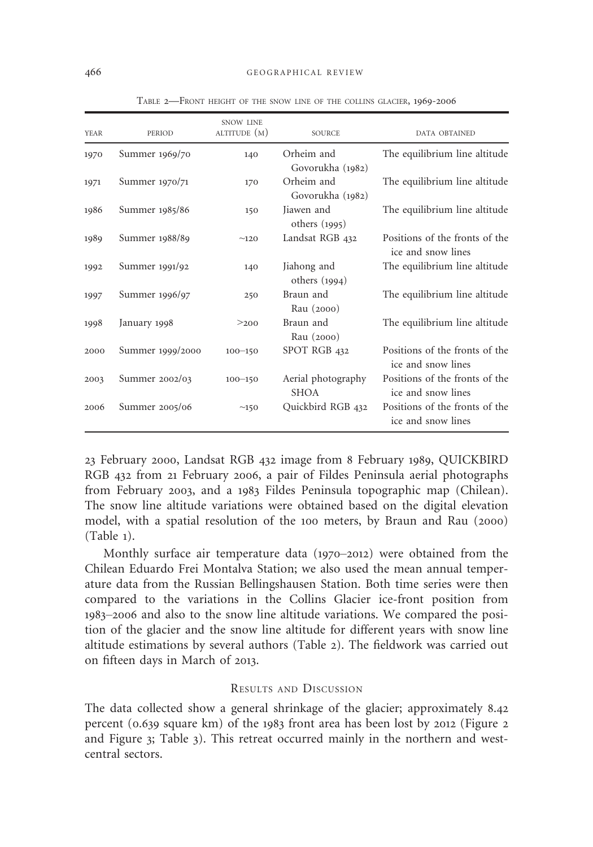| <b>YEAR</b> | PERIOD           | <b>SNOW LINE</b><br>ALTITUDE (M) | <b>SOURCE</b>                     | DATA OBTAINED                                        |
|-------------|------------------|----------------------------------|-----------------------------------|------------------------------------------------------|
| 1970        | Summer 1969/70   | 140                              | Orheim and<br>Govorukha (1982)    | The equilibrium line altitude                        |
| 1971        | Summer 1970/71   | 170                              | Orheim and<br>Govorukha (1982)    | The equilibrium line altitude                        |
| 1986        | Summer 1985/86   | 150                              | Jiawen and<br>others $(1995)$     | The equilibrium line altitude                        |
| 1989        | Summer 1988/89   | ~120                             | Landsat RGB 432                   | Positions of the fronts of the<br>ice and snow lines |
| 1992        | Summer 1991/92   | 140                              | Jiahong and<br>others $(1994)$    | The equilibrium line altitude                        |
| 1997        | Summer 1996/97   | 250                              | Braun and<br>Rau (2000)           | The equilibrium line altitude                        |
| 1998        | January 1998     | >200                             | Braun and<br>Rau (2000)           | The equilibrium line altitude                        |
| 2000        | Summer 1999/2000 | $100 - 150$                      | SPOT RGB 432                      | Positions of the fronts of the<br>ice and snow lines |
| 2003        | Summer 2002/03   | $100 - 150$                      | Aerial photography<br><b>SHOA</b> | Positions of the fronts of the<br>ice and snow lines |
| 2006        | Summer 2005/06   | $\sim150$                        | Quickbird RGB 432                 | Positions of the fronts of the<br>ice and snow lines |

TABLE 2—FRONT HEIGHT OF THE SNOW LINE OF THE COLLINS GLACIER, 1969-2006

23 February 2000, Landsat RGB 432 image from 8 February 1989, QUICKBIRD RGB 432 from 21 February 2006, a pair of Fildes Peninsula aerial photographs from February 2003, and a 1983 Fildes Peninsula topographic map (Chilean). The snow line altitude variations were obtained based on the digital elevation model, with a spatial resolution of the 100 meters, by Braun and Rau (2000) (Table 1).

Monthly surface air temperature data (1970–2012) were obtained from the Chilean Eduardo Frei Montalva Station; we also used the mean annual temperature data from the Russian Bellingshausen Station. Both time series were then compared to the variations in the Collins Glacier ice-front position from 1983–2006 and also to the snow line altitude variations. We compared the position of the glacier and the snow line altitude for different years with snow line altitude estimations by several authors (Table 2). The fieldwork was carried out on fifteen days in March of 2013.

### RESULTS AND DISCUSSION

The data collected show a general shrinkage of the glacier; approximately 8.42 percent (0.639 square km) of the 1983 front area has been lost by 2012 (Figure 2 and Figure 3; Table 3). This retreat occurred mainly in the northern and westcentral sectors.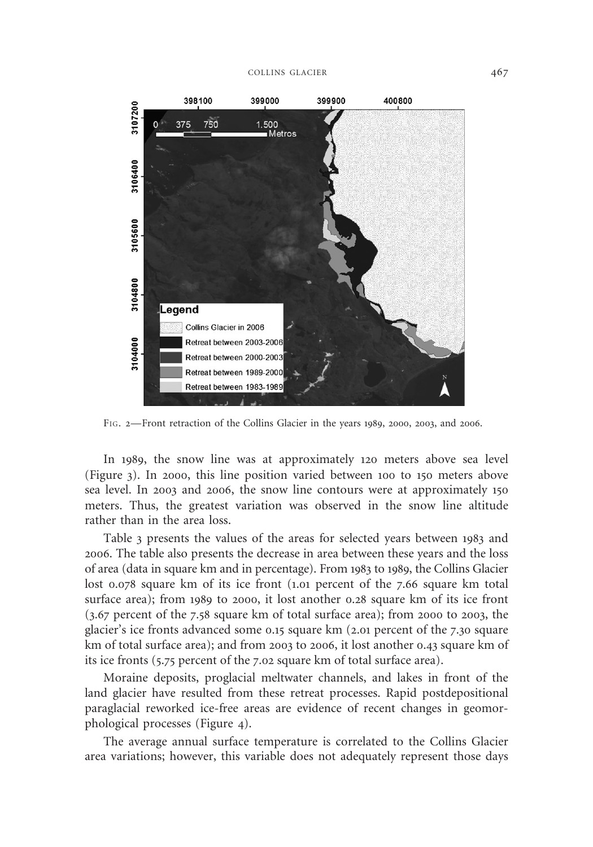

FIG. 2—Front retraction of the Collins Glacier in the years 1989, 2000, 2003, and 2006.

In 1989, the snow line was at approximately 120 meters above sea level (Figure 3). In 2000, this line position varied between 100 to 150 meters above sea level. In 2003 and 2006, the snow line contours were at approximately 150 meters. Thus, the greatest variation was observed in the snow line altitude rather than in the area loss.

Table 3 presents the values of the areas for selected years between 1983 and 2006. The table also presents the decrease in area between these years and the loss of area (data in square km and in percentage). From 1983 to 1989, the Collins Glacier lost 0.078 square km of its ice front (1.01 percent of the 7.66 square km total surface area); from 1989 to 2000, it lost another 0.28 square km of its ice front (3.67 percent of the 7.58 square km of total surface area); from 2000 to 2003, the glacier's ice fronts advanced some 0.15 square km (2.01 percent of the 7.30 square km of total surface area); and from 2003 to 2006, it lost another 0.43 square km of its ice fronts (5.75 percent of the 7.02 square km of total surface area).

Moraine deposits, proglacial meltwater channels, and lakes in front of the land glacier have resulted from these retreat processes. Rapid postdepositional paraglacial reworked ice-free areas are evidence of recent changes in geomorphological processes (Figure 4).

The average annual surface temperature is correlated to the Collins Glacier area variations; however, this variable does not adequately represent those days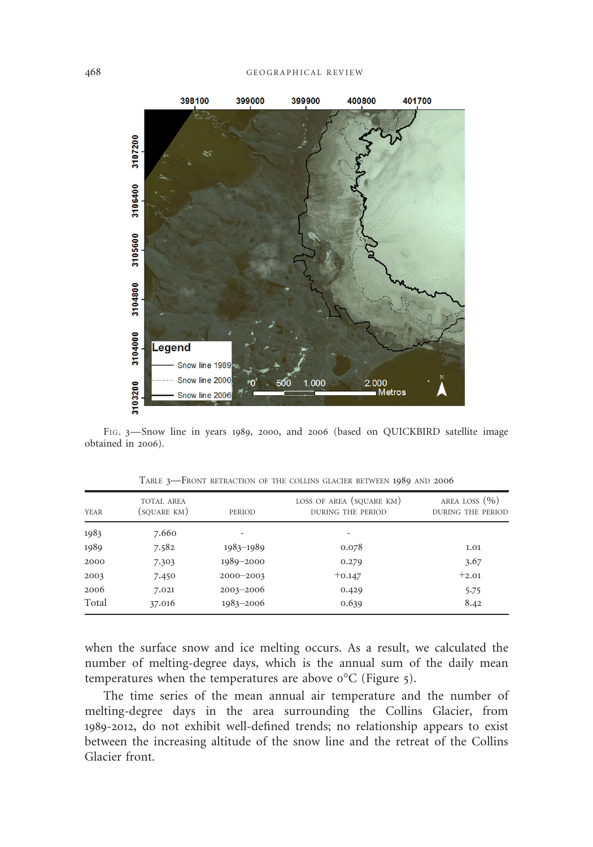

FIG. 3—Snow line in years 1989, 2000, and 2006 (based on QUICKBIRD satellite image obtained in 2006).

| <b>YEAR</b> | <b>TOTAL AREA</b><br>(SQUARE KM) | PERIOD        | LOSS OF AREA (SQUARE KM)<br><b>DURING THE PERIOD</b> | AREA LOSS $(\% )$<br>DURING THE PERIOD |
|-------------|----------------------------------|---------------|------------------------------------------------------|----------------------------------------|
| 1983        | 7.660                            |               | $\overline{\phantom{0}}$                             |                                        |
| 1989        | 7.582                            | 1983-1989     | 0.078                                                | 1.01                                   |
| 2000        | 7.303                            | 1989-2000     | 0.279                                                | 3.67                                   |
| 2003        | 7.450                            | $2000 - 2003$ | $+0.147$                                             | $+2.01$                                |
| 2006        | 7.021                            | $2003 - 2006$ | 0.429                                                | 5.75                                   |
| Total       | 37.016                           | $1983 - 2006$ | 0.639                                                | 8.42                                   |

TABLE 3—FRONT RETRACTION OF THE COLLINS GLACIER BETWEEN 1989 AND 2006

when the surface snow and ice melting occurs. As a result, we calculated the number of melting-degree days, which is the annual sum of the daily mean temperatures when the temperatures are above 0°C (Figure 5).

The time series of the mean annual air temperature and the number of melting-degree days in the area surrounding the Collins Glacier, from 1989-2012, do not exhibit well-defined trends; no relationship appears to exist between the increasing altitude of the snow line and the retreat of the Collins Glacier front.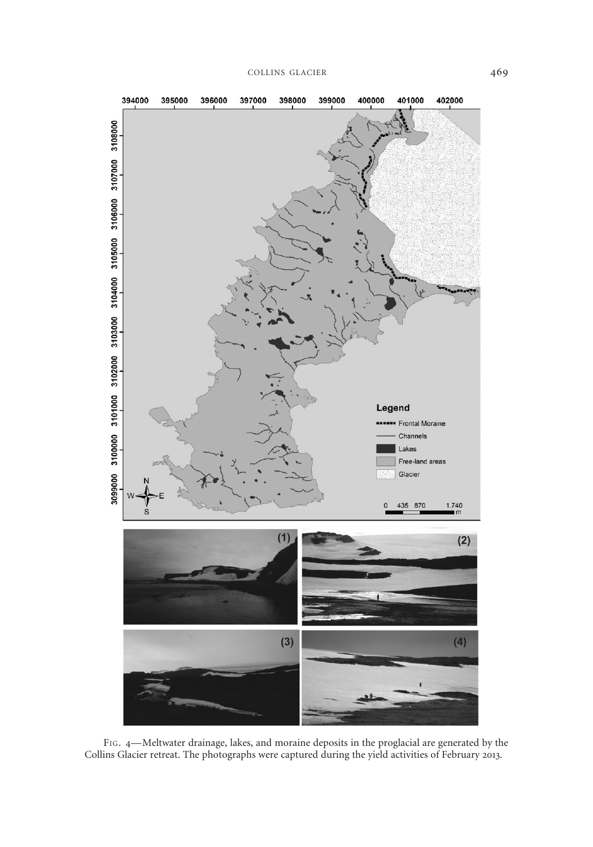

FIG. 4—Meltwater drainage, lakes, and moraine deposits in the proglacial are generated by the Collins Glacier retreat. The photographs were captured during the yield activities of February 2013.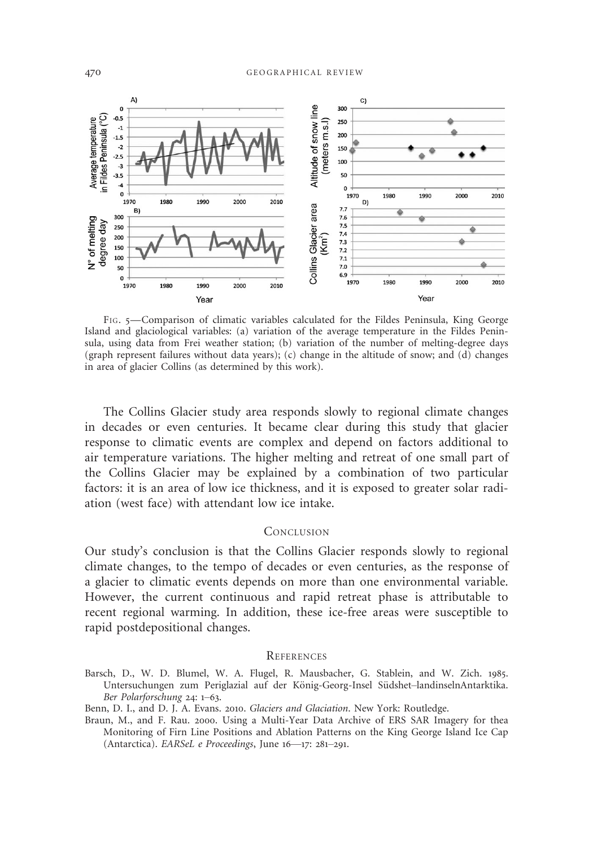

FIG. 5—Comparison of climatic variables calculated for the Fildes Peninsula, King George Island and glaciological variables: (a) variation of the average temperature in the Fildes Peninsula, using data from Frei weather station; (b) variation of the number of melting-degree days (graph represent failures without data years); (c) change in the altitude of snow; and  $(d)$  changes in area of glacier Collins (as determined by this work).

The Collins Glacier study area responds slowly to regional climate changes in decades or even centuries. It became clear during this study that glacier response to climatic events are complex and depend on factors additional to air temperature variations. The higher melting and retreat of one small part of the Collins Glacier may be explained by a combination of two particular factors: it is an area of low ice thickness, and it is exposed to greater solar radiation (west face) with attendant low ice intake.

### **CONCLUSION**

Our study's conclusion is that the Collins Glacier responds slowly to regional climate changes, to the tempo of decades or even centuries, as the response of a glacier to climatic events depends on more than one environmental variable. However, the current continuous and rapid retreat phase is attributable to recent regional warming. In addition, these ice-free areas were susceptible to rapid postdepositional changes.

#### **REFERENCES**

- Barsch, D., W. D. Blumel, W. A. Flugel, R. Mausbacher, G. Stablein, and W. Zich. 1985. Untersuchungen zum Periglazial auf der König-Georg-Insel Südshet-landinselnAntarktika. Ber Polarforschung 24: 1–63.
- Benn, D. I., and D. J. A. Evans. 2010. Glaciers and Glaciation. New York: Routledge.
- Braun, M., and F. Rau. 2000. Using a Multi-Year Data Archive of ERS SAR Imagery for thea Monitoring of Firn Line Positions and Ablation Patterns on the King George Island Ice Cap (Antarctica). EARSeL e Proceedings, June 16—17: 281–291.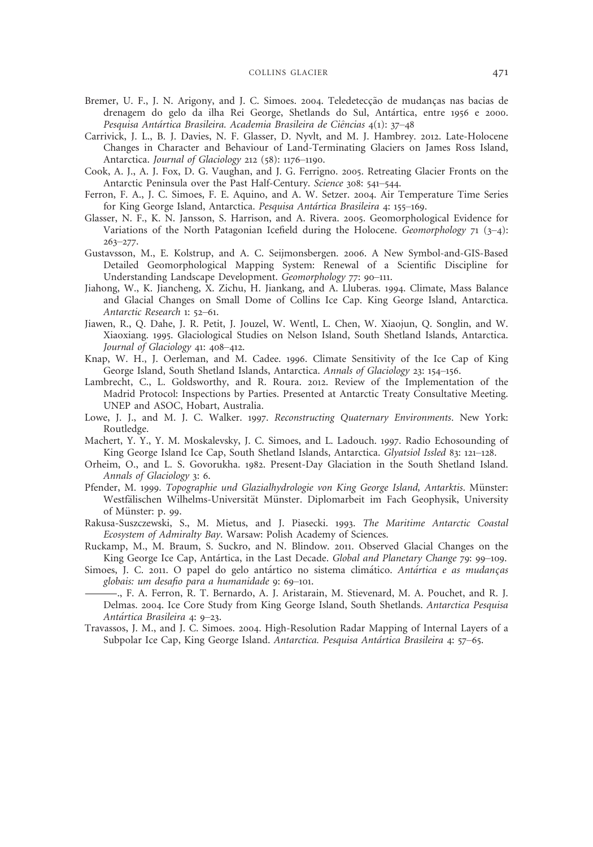- Bremer, U. F., J. N. Arigony, and J. C. Simoes. 2004. Teledetecção de mudanças nas bacias de drenagem do gelo da ilha Rei George, Shetlands do Sul, Antartica, entre 1956 e 2000. Pesquisa Antártica Brasileira. Academia Brasileira de Ciências 4(1): 37–48
- Carrivick, J. L., B. J. Davies, N. F. Glasser, D. Nyvlt, and M. J. Hambrey. 2012. Late-Holocene Changes in Character and Behaviour of Land-Terminating Glaciers on James Ross Island, Antarctica. Journal of Glaciology 212 (58): 1176–1190.
- Cook, A. J., A. J. Fox, D. G. Vaughan, and J. G. Ferrigno. 2005. Retreating Glacier Fronts on the Antarctic Peninsula over the Past Half-Century. Science 308: 541–544.
- Ferron, F. A., J. C. Simoes, F. E. Aquino, and A. W. Setzer. 2004. Air Temperature Time Series for King George Island, Antarctica. Pesquisa Antartica Brasileira 4: 155–169.
- Glasser, N. F., K. N. Jansson, S. Harrison, and A. Rivera. 2005. Geomorphological Evidence for Variations of the North Patagonian Icefield during the Holocene. Geomorphology  $71$  ( $3-4$ ):  $263 - 277.$
- Gustavsson, M., E. Kolstrup, and A. C. Seijmonsbergen. 2006. A New Symbol-and-GIS-Based Detailed Geomorphological Mapping System: Renewal of a Scientific Discipline for Understanding Landscape Development. Geomorphology 77: 90–111.
- Jiahong, W., K. Jiancheng, X. Zichu, H. Jiankang, and A. Lluberas. 1994. Climate, Mass Balance and Glacial Changes on Small Dome of Collins Ice Cap. King George Island, Antarctica. Antarctic Research 1: 52–61.
- Jiawen, R., Q. Dahe, J. R. Petit, J. Jouzel, W. Wentl, L. Chen, W. Xiaojun, Q. Songlin, and W. Xiaoxiang. 1995. Glaciological Studies on Nelson Island, South Shetland Islands, Antarctica. Journal of Glaciology 41: 408–412.
- Knap, W. H., J. Oerleman, and M. Cadee. 1996. Climate Sensitivity of the Ice Cap of King George Island, South Shetland Islands, Antarctica. Annals of Glaciology 23: 154–156.
- Lambrecht, C., L. Goldsworthy, and R. Roura. 2012. Review of the Implementation of the Madrid Protocol: Inspections by Parties. Presented at Antarctic Treaty Consultative Meeting. UNEP and ASOC, Hobart, Australia.
- Lowe, J. J., and M. J. C. Walker. 1997. Reconstructing Quaternary Environments. New York: Routledge.
- Machert, Y. Y., Y. M. Moskalevsky, J. C. Simoes, and L. Ladouch. 1997. Radio Echosounding of King George Island Ice Cap, South Shetland Islands, Antarctica. Glyatsiol Issled 83: 121–128.
- Orheim, O., and L. S. Govorukha. 1982. Present-Day Glaciation in the South Shetland Island. Annals of Glaciology 3: 6.
- Pfender, M. 1999. Topographie und Glazialhydrologie von King George Island, Antarktis. Münster: Westfälischen Wilhelms-Universität Münster. Diplomarbeit im Fach Geophysik, University of Münster: p. 99.
- Rakusa-Suszczewski, S., M. Mietus, and J. Piasecki. 1993. The Maritime Antarctic Coastal Ecosystem of Admiralty Bay. Warsaw: Polish Academy of Sciences.
- Ruckamp, M., M. Braum, S. Suckro, and N. Blindow. 2011. Observed Glacial Changes on the King George Ice Cap, Antartica, in the Last Decade. Global and Planetary Change 79: 99–109.
- Simoes, J. C. 2011. O papel do gelo antártico no sistema climático. Antártica e as mudanças globais: um desafio para a humanidade 9: 69–101.
- west<br>
of M<br>
Rakusa-S<br> *Ecosy*<br>
Ruckamp<br>
King<br>
Simoes, J<br> *Antá*<br> *Antá*<br> *Antá*<br> *Antá*<br> *Antá*<br> *Antá*<br> *Antá*<br> *Antá*<br> *Antá* ., F. A. Ferron, R. T. Bernardo, A. J. Aristarain, M. Stievenard, M. A. Pouchet, and R. J. Delmas. 2004. Ice Core Study from King George Island, South Shetlands. Antarctica Pesquisa Antartica Brasileira 4: 9–23.
	- Travassos, J. M., and J. C. Simoes. 2004. High-Resolution Radar Mapping of Internal Layers of a Subpolar Ice Cap, King George Island. Antarctica. Pesquisa Antartica Brasileira 4: 57–65.